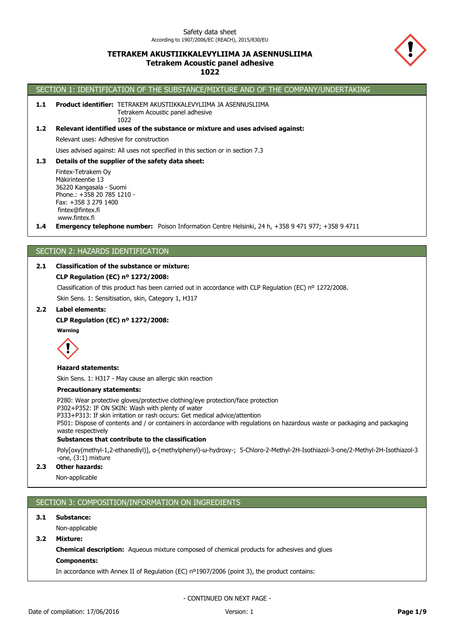## **TETRAKEM AKUSTIIKKALEVYLIIMA JA ASENNUSLIIMA Tetrakem Acoustic panel adhesive 1022**



# SECTION 1: IDENTIFICATION OF THE SUBSTANCE/MIXTURE AND OF THE COMPANY/UNDERTAKING

1.1 Product identifier: TETRAKEM AKUSTIIKKALEVYLIIMA JA ASENNUSLIIMA Tetrakem Acoustic panel adhesive

## **1.2 Relevant identified uses of the substance or mixture and uses advised against:**

Relevant uses: Adhesive for construction

Uses advised against: All uses not specified in this section or in section 7.3

### **1.3 Details of the supplier of the safety data sheet:**

1022

Fintex-Tetrakem Oy Mäkirinteentie 13 36220 Kangasala - Suomi Phone.: +358 20 785 1210 - Fax: +358 3 279 1400 fintex@fintex.fi www.fintex.fi

**1.4 Emergency telephone number:** Poison Information Centre Helsinki, 24 h, +358 9 471 977; +358 9 4711

## SECTION 2: HAZARDS IDENTIFICATION

## **2.1 Classification of the substance or mixture:**

## **CLP Regulation (EC) nº 1272/2008:**

Classification of this product has been carried out in accordance with CLP Regulation (EC) nº 1272/2008.

Skin Sens. 1: Sensitisation, skin, Category 1, H317

## **2.2 Label elements:**

### **CLP Regulation (EC) nº 1272/2008:**

**Warning**



#### **Hazard statements:**

Skin Sens. 1: H317 - May cause an allergic skin reaction

#### **Precautionary statements:**

P280: Wear protective gloves/protective clothing/eye protection/face protection

P302+P352: IF ON SKIN: Wash with plenty of water

P333+P313: If skin irritation or rash occurs: Get medical advice/attention

P501: Dispose of contents and / or containers in accordance with regulations on hazardous waste or packaging and packaging waste respectively

### **Substances that contribute to the classification**

Poly[oxy(methyl-1,2-ethanediyl)], α-(methylphenyl)-ω-hydroxy-; 5-Chloro-2-Methyl-2H-Isothiazol-3-one/2-Methyl-2H-Isothiazol-3 -one, (3:1) mixture

### **2.3 Other hazards:**

Non-applicable

## SECTION 3: COMPOSITION/INFORMATION ON INGREDIENTS

### **3.1 Substance:**

Non-applicable

**3.2 Mixture:**

**Chemical description:** Aqueous mixture composed of chemical products for adhesives and glues

#### **Components:**

In accordance with Annex II of Regulation (EC) nº1907/2006 (point 3), the product contains: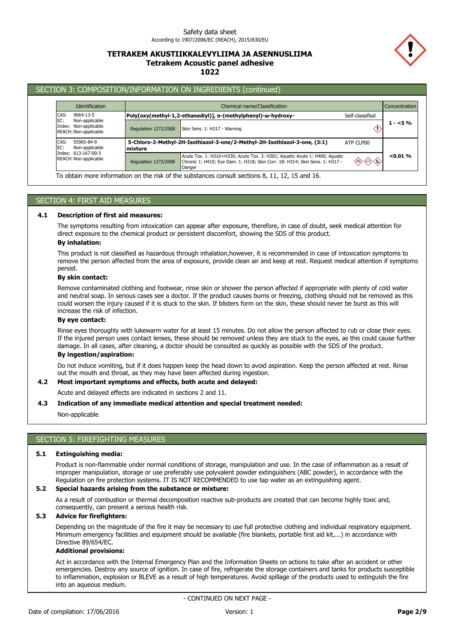## **TETRAKEM AKUSTIIKKALEVYLIIMA JA ASENNUSLIIMA Tetrakem Acoustic panel adhesive 1022**



## SECTION 3: COMPOSITION/INFORMATION ON INGREDIENTS (continued)

| <b>Identification</b>                                                          |                      | Chemical name/Classification                                                                                                                                |                 |          |
|--------------------------------------------------------------------------------|----------------------|-------------------------------------------------------------------------------------------------------------------------------------------------------------|-----------------|----------|
| CAS:<br>9064-13-5                                                              |                      | Poly[oxy(methyl-1,2-ethanediyl)], α-(methylphenyl)-ω-hydroxy-                                                                                               | Self-classified |          |
| EC:<br>Non-applicable<br>Index: Non-applicable<br>REACH: Non-applicable        | Regulation 1272/2008 | Skin Sens. 1: H317 - Warning                                                                                                                                |                 | $1 - 5%$ |
| CAS:<br>55965-84-9<br>EC:<br>Non-applicable                                    | mixture              | 5-Chloro-2-Methyl-2H-Isothiazol-3-one/2-Methyl-2H-Isothiazol-3-one, (3:1)                                                                                   | ATP CLP00       |          |
| Index: 613-167-00-5<br>REACH: Non-applicable<br>Regulation 1272/2008<br>Danger |                      | Acute Tox. 1: H310+H330; Acute Tox. 3: H301; Aquatic Acute 1: H400; Aquatic<br>Chronic 1: H410; Eye Dam. 1: H318; Skin Corr. 1B: H314; Skin Sens. 1: H317 - | ◈◇◇◇            | < 0.01 % |

## SECTION 4: FIRST AID MEASURES

## **4.1 Description of first aid measures:**

The symptoms resulting from intoxication can appear after exposure, therefore, in case of doubt, seek medical attention for direct exposure to the chemical product or persistent discomfort, showing the SDS of this product.

## **By inhalation:**

This product is not classified as hazardous through inhalation,however, it is recommended in case of intoxication symptoms to remove the person affected from the area of exposure, provide clean air and keep at rest. Request medical attention if symptoms persist.

#### **By skin contact:**

Remove contaminated clothing and footwear, rinse skin or shower the person affected if appropriate with plenty of cold water and neutral soap. In serious cases see a doctor. If the product causes burns or freezing, clothing should not be removed as this could worsen the injury caused if it is stuck to the skin. If blisters form on the skin, these should never be burst as this will increase the risk of infection.

#### **By eye contact:**

Rinse eyes thoroughly with lukewarm water for at least 15 minutes. Do not allow the person affected to rub or close their eyes. If the injured person uses contact lenses, these should be removed unless they are stuck to the eyes, as this could cause further damage. In all cases, after cleaning, a doctor should be consulted as quickly as possible with the SDS of the product.

## **By ingestion/aspiration:**

Do not induce vomiting, but if it does happen keep the head down to avoid aspiration. Keep the person affected at rest. Rinse out the mouth and throat, as they may have been affected during ingestion.

#### **4.2 Most important symptoms and effects, both acute and delayed:**

Acute and delayed effects are indicated in sections 2 and 11.

## **4.3 Indication of any immediate medical attention and special treatment needed:**

Non-applicable

## SECTION 5: FIREFIGHTING MEASURES

#### **5.1 Extinguishing media:**

Product is non-flammable under normal conditions of storage, manipulation and use. In the case of inflammation as a result of improper manipulation, storage or use preferably use polyvalent powder extinguishers (ABC powder), in accordance with the Regulation on fire protection systems. IT IS NOT RECOMMENDED to use tap water as an extinguishing agent.

### **5.2 Special hazards arising from the substance or mixture:**

As a result of combustion or thermal decomposition reactive sub-products are created that can become highly toxic and, consequently, can present a serious health risk.

### **5.3 Advice for firefighters:**

Depending on the magnitude of the fire it may be necessary to use full protective clothing and individual respiratory equipment. Minimum emergency facilities and equipment should be available (fire blankets, portable first aid kit,...) in accordance with Directive 89/654/EC.

### **Additional provisions:**

Act in accordance with the Internal Emergency Plan and the Information Sheets on actions to take after an accident or other emergencies. Destroy any source of ignition. In case of fire, refrigerate the storage containers and tanks for products susceptible to inflammation, explosion or BLEVE as a result of high temperatures. Avoid spillage of the products used to extinguish the fire into an aqueous medium.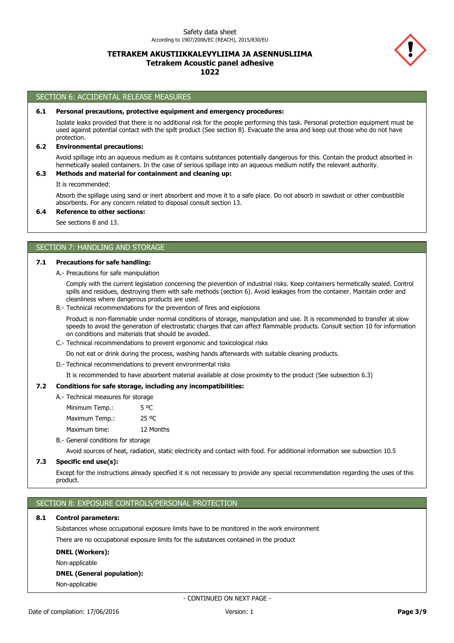## **TETRAKEM AKUSTIIKKALEVYLIIMA JA ASENNUSLIIMA Tetrakem Acoustic panel adhesive 1022**



### SECTION 6: ACCIDENTAL RELEASE MEASURES

#### **6.1 Personal precautions, protective equipment and emergency procedures:**

Isolate leaks provided that there is no additional risk for the people performing this task. Personal protection equipment must be used against potential contact with the spilt product (See section 8). Evacuate the area and keep out those who do not have protection.

### **6.2 Environmental precautions:**

Avoid spillage into an aqueous medium as it contains substances potentially dangerous for this. Contain the product absorbed in hermetically sealed containers. In the case of serious spillage into an aqueous medium notify the relevant authority.

## **6.3 Methods and material for containment and cleaning up:**

It is recommended:

Absorb the spillage using sand or inert absorbent and move it to a safe place. Do not absorb in sawdust or other combustible absorbents. For any concern related to disposal consult section 13.

# **6.4 Reference to other sections:**

See sections 8 and 13.

## SECTION 7: HANDLING AND STORAGE

### **7.1 Precautions for safe handling:**

A.- Precautions for safe manipulation

Comply with the current legislation concerning the prevention of industrial risks. Keep containers hermetically sealed. Control spills and residues, destroying them with safe methods (section 6). Avoid leakages from the container. Maintain order and cleanliness where dangerous products are used.

B.- Technical recommendations for the prevention of fires and explosions

Product is non-flammable under normal conditions of storage, manipulation and use. It is recommended to transfer at slow speeds to avoid the generation of electrostatic charges that can affect flammable products. Consult section 10 for information on conditions and materials that should be avoided.

C.- Technical recommendations to prevent ergonomic and toxicological risks

Do not eat or drink during the process, washing hands afterwards with suitable cleaning products.

D.- Technical recommendations to prevent environmental risks

It is recommended to have absorbent material available at close proximity to the product (See subsection 6.3)

### **7.2 Conditions for safe storage, including any incompatibilities:**

A.- Technical measures for storage

| Minimum Temp.: | 5 OC      |
|----------------|-----------|
| Maximum Temp.: | 25 °C     |
| Maximum time:  | 12 Months |
|                |           |

B.- General conditions for storage

Avoid sources of heat, radiation, static electricity and contact with food. For additional information see subsection 10.5

#### **7.3 Specific end use(s):**

Except for the instructions already specified it is not necessary to provide any special recommendation regarding the uses of this product.

### SECTION 8: EXPOSURE CONTROLS/PERSONAL PROTECTION

#### **8.1 Control parameters:**

Substances whose occupational exposure limits have to be monitored in the work environment There are no occupational exposure limits for the substances contained in the product

#### **DNEL (Workers):**

Non-applicable

#### **DNEL (General population):**

Non-applicable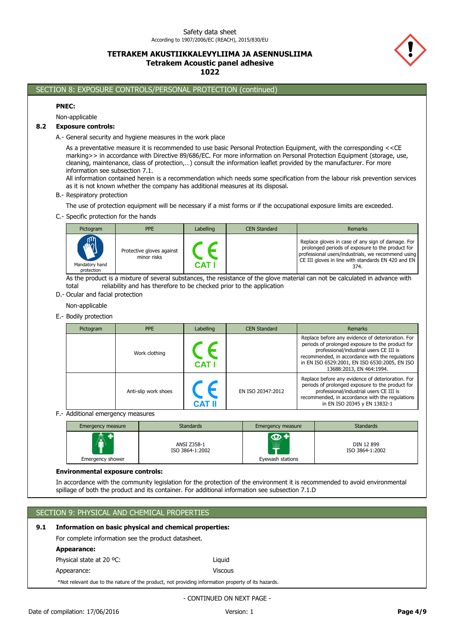## **TETRAKEM AKUSTIIKKALEVYLIIMA JA ASENNUSLIIMA Tetrakem Acoustic panel adhesive 1022**



## SECTION 8: EXPOSURE CONTROLS/PERSONAL PROTECTION (continued)

#### **PNEC:**

Non-applicable

### **8.2 Exposure controls:**

A.- General security and hygiene measures in the work place

As a preventative measure it is recommended to use basic Personal Protection Equipment, with the corresponding <<CE marking>> in accordance with Directive 89/686/EC. For more information on Personal Protection Equipment (storage, use, cleaning, maintenance, class of protection,…) consult the information leaflet provided by the manufacturer. For more information see subsection 7.1.

All information contained herein is a recommendation which needs some specification from the labour risk prevention services as it is not known whether the company has additional measures at its disposal.

#### B.- Respiratory protection

The use of protection equipment will be necessary if a mist forms or if the occupational exposure limits are exceeded.

C.- Specific protection for the hands

| Pictogram                                  | <b>PPE</b>                               | <b>Labelling</b> | <b>CEN Standard</b> | Remarks                                                                                                                                                                                                                   |
|--------------------------------------------|------------------------------------------|------------------|---------------------|---------------------------------------------------------------------------------------------------------------------------------------------------------------------------------------------------------------------------|
| <b>AND</b><br>Mandatory hand<br>protection | Protective gloves against<br>minor risks | C.AT.            |                     | Replace gloves in case of any sign of damage. For<br>prolonged periods of exposure to the product for<br>professional users/industrials, we recommend using<br>CE III gloves in line with standards EN 420 and EN<br>374. |

As the product is a mixture of several substances, the resistance of the glove material can not be calculated in advance with total reliability and has therefore to be checked prior to the application

- D.- Ocular and facial protection
	- Non-applicable
- E.- Bodily protection

| Pictogram | <b>PPE</b>           | Labelling     | <b>CEN Standard</b> | Remarks                                                                                                                                                                                                                                                                          |
|-----------|----------------------|---------------|---------------------|----------------------------------------------------------------------------------------------------------------------------------------------------------------------------------------------------------------------------------------------------------------------------------|
|           | Work clothing        | <b>CAT I</b>  |                     | Replace before any evidence of deterioration. For<br>periods of prolonged exposure to the product for<br>professional/industrial users CE III is<br>recommended, in accordance with the regulations<br>in EN ISO 6529:2001, EN ISO 6530:2005, EN ISO<br>13688:2013, EN 464:1994. |
|           | Anti-slip work shoes | <b>CAT II</b> | EN ISO 20347:2012   | Replace before any evidence of deterioration. For<br>periods of prolonged exposure to the product for<br>professional/industrial users CE III is<br>recommended, in accordance with the regulations<br>in EN ISO 20345 y EN 13832-1                                              |

F.- Additional emergency measures

| <b>Emergency measure</b>    | <b>Standards</b>               | <b>Emergency measure</b>                            | <b>Standards</b>              |
|-----------------------------|--------------------------------|-----------------------------------------------------|-------------------------------|
| AV<br>Ш<br>Emergency shower | ANSI Z358-1<br>ISO 3864-1:2002 | <b>O+</b><br>.<br>1111111<br>mm<br>Eyewash stations | DIN 12 899<br>ISO 3864-1:2002 |

### **Environmental exposure controls:**

In accordance with the community legislation for the protection of the environment it is recommended to avoid environmental spillage of both the product and its container. For additional information see subsection 7.1.D

### SECTION 9: PHYSICAL AND CHEMICAL PROPERTIES

## **9.1 Information on basic physical and chemical properties:**

For complete information see the product datasheet.

| Appearance:                                                                                        |                |
|----------------------------------------------------------------------------------------------------|----------------|
| Physical state at 20 °C:                                                                           | Liauid         |
| Appearance:                                                                                        | <b>Viscous</b> |
| *Not relevant due to the nature of the product, not providing information property of its hazards. |                |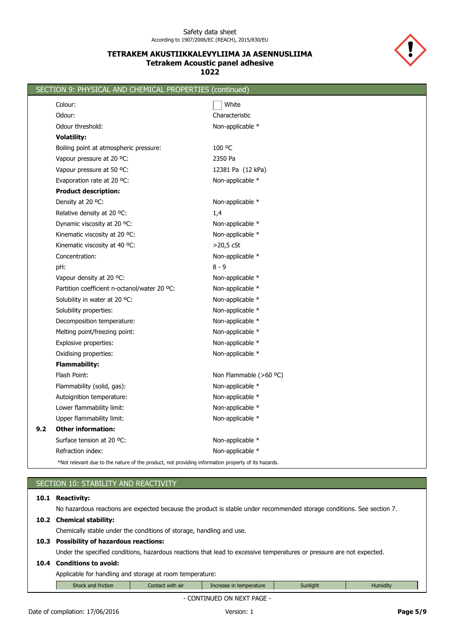## **TETRAKEM AKUSTIIKKALEVYLIIMA JA ASENNUSLIIMA Tetrakem Acoustic panel adhesive 1022**



|     | SECTION 9: PHYSICAL AND CHEMICAL PROPERTIES (continued)                                            |                        |
|-----|----------------------------------------------------------------------------------------------------|------------------------|
|     | Colour:                                                                                            | White                  |
|     | Odour:                                                                                             | Characteristic         |
|     | Odour threshold:                                                                                   | Non-applicable *       |
|     | <b>Volatility:</b>                                                                                 |                        |
|     | Boiling point at atmospheric pressure:                                                             | 100 °C                 |
|     | Vapour pressure at 20 °C:                                                                          | 2350 Pa                |
|     | Vapour pressure at 50 °C:                                                                          | 12381 Pa (12 kPa)      |
|     | Evaporation rate at 20 °C:                                                                         | Non-applicable *       |
|     | <b>Product description:</b>                                                                        |                        |
|     | Density at 20 °C:                                                                                  | Non-applicable *       |
|     | Relative density at 20 °C:                                                                         | 1,4                    |
|     | Dynamic viscosity at 20 °C:                                                                        | Non-applicable *       |
|     | Kinematic viscosity at 20 °C:                                                                      | Non-applicable *       |
|     | Kinematic viscosity at 40 °C:                                                                      | $>20,5$ cSt            |
|     | Concentration:                                                                                     | Non-applicable *       |
|     | pH:                                                                                                | $8 - 9$                |
|     | Vapour density at 20 °C:                                                                           | Non-applicable *       |
|     | Partition coefficient n-octanol/water 20 °C:                                                       | Non-applicable *       |
|     | Solubility in water at 20 °C:                                                                      | Non-applicable *       |
|     | Solubility properties:                                                                             | Non-applicable *       |
|     | Decomposition temperature:                                                                         | Non-applicable *       |
|     | Melting point/freezing point:                                                                      | Non-applicable *       |
|     | Explosive properties:                                                                              | Non-applicable *       |
|     | Oxidising properties:                                                                              | Non-applicable *       |
|     | <b>Flammability:</b>                                                                               |                        |
|     | Flash Point:                                                                                       | Non Flammable (>60 °C) |
|     | Flammability (solid, gas):                                                                         | Non-applicable *       |
|     | Autoignition temperature:                                                                          | Non-applicable *       |
|     | Lower flammability limit:                                                                          | Non-applicable *       |
|     | Upper flammability limit:                                                                          | Non-applicable *       |
| 9.2 | <b>Other information:</b>                                                                          |                        |
|     | Surface tension at 20 °C:                                                                          | Non-applicable *       |
|     | Refraction index:                                                                                  | Non-applicable *       |
|     | *Not relevant due to the nature of the product, not providing information property of its hazards. |                        |

| SECTION 10: STABILITY AND REACTIVITY                                                                                   |                  |                         |          |                 |  |  |  |
|------------------------------------------------------------------------------------------------------------------------|------------------|-------------------------|----------|-----------------|--|--|--|
| 10.1 Reactivity:                                                                                                       |                  |                         |          |                 |  |  |  |
| No hazardous reactions are expected because the product is stable under recommended storage conditions. See section 7. |                  |                         |          |                 |  |  |  |
| 10.2 Chemical stability:                                                                                               |                  |                         |          |                 |  |  |  |
| Chemically stable under the conditions of storage, handling and use.                                                   |                  |                         |          |                 |  |  |  |
| 10.3 Possibility of hazardous reactions:                                                                               |                  |                         |          |                 |  |  |  |
| Under the specified conditions, hazardous reactions that lead to excessive temperatures or pressure are not expected.  |                  |                         |          |                 |  |  |  |
| 10.4 Conditions to avoid:                                                                                              |                  |                         |          |                 |  |  |  |
| Applicable for handling and storage at room temperature:                                                               |                  |                         |          |                 |  |  |  |
| Shock and friction                                                                                                     | Contact with air | Increase in temperature | Sunlight | <b>Humidity</b> |  |  |  |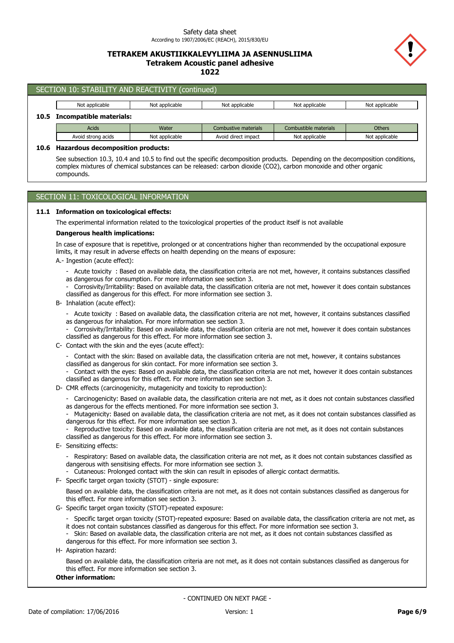## **TETRAKEM AKUSTIIKKALEVYLIIMA JA ASENNUSLIIMA Tetrakem Acoustic panel adhesive 1022**



|                                       | SECTION 10: STABILITY AND REACTIVITY (continued)                                                                                                                                                                      |                |                      |                       |                |  |  |
|---------------------------------------|-----------------------------------------------------------------------------------------------------------------------------------------------------------------------------------------------------------------------|----------------|----------------------|-----------------------|----------------|--|--|
|                                       | Not applicable                                                                                                                                                                                                        | Not applicable | Not applicable       | Not applicable        | Not applicable |  |  |
| 10.5                                  | <b>Incompatible materials:</b>                                                                                                                                                                                        |                |                      |                       |                |  |  |
|                                       | <b>Acids</b>                                                                                                                                                                                                          | Water          | Combustive materials | Combustible materials | <b>Others</b>  |  |  |
|                                       | Avoid strong acids                                                                                                                                                                                                    | Not applicable | Avoid direct impact  | Not applicable        | Not applicable |  |  |
| 10.6                                  | <b>Hazardous decomposition products:</b>                                                                                                                                                                              |                |                      |                       |                |  |  |
| compounds.                            |                                                                                                                                                                                                                       |                |                      |                       |                |  |  |
| SECTION 11: TOXICOLOGICAL INFORMATION |                                                                                                                                                                                                                       |                |                      |                       |                |  |  |
| 11.1                                  | <b>Information on toxicological effects:</b>                                                                                                                                                                          |                |                      |                       |                |  |  |
|                                       | The experimental information related to the toxicological properties of the product itself is not available                                                                                                           |                |                      |                       |                |  |  |
|                                       | Dangerous health implications:                                                                                                                                                                                        |                |                      |                       |                |  |  |
|                                       | In case of exposure that is repetitive, prolonged or at concentrations higher than recommended by the occupational exposure<br>limits, it may result in adverse effects on health depending on the means of exposure: |                |                      |                       |                |  |  |

- A.- Ingestion (acute effect):
	- Acute toxicity : Based on available data, the classification criteria are not met, however, it contains substances classified as dangerous for consumption. For more information see section 3.
	- Corrosivity/Irritability: Based on available data, the classification criteria are not met, however it does contain substances classified as dangerous for this effect. For more information see section 3.
- B- Inhalation (acute effect):
	- Acute toxicity : Based on available data, the classification criteria are not met, however, it contains substances classified as dangerous for inhalation. For more information see section 3.
	- Corrosivity/Irritability: Based on available data, the classification criteria are not met, however it does contain substances classified as dangerous for this effect. For more information see section 3.
- C- Contact with the skin and the eyes (acute effect):
	- Contact with the skin: Based on available data, the classification criteria are not met, however, it contains substances classified as dangerous for skin contact. For more information see section 3.
	- Contact with the eyes: Based on available data, the classification criteria are not met, however it does contain substances classified as dangerous for this effect. For more information see section 3.
- D- CMR effects (carcinogenicity, mutagenicity and toxicity to reproduction):
	- Carcinogenicity: Based on available data, the classification criteria are not met, as it does not contain substances classified as dangerous for the effects mentioned. For more information see section 3.
	- Mutagenicity: Based on available data, the classification criteria are not met, as it does not contain substances classified as dangerous for this effect. For more information see section 3.
	- Reproductive toxicity: Based on available data, the classification criteria are not met, as it does not contain substances classified as dangerous for this effect. For more information see section 3.
- E- Sensitizing effects:
	- Respiratory: Based on available data, the classification criteria are not met, as it does not contain substances classified as dangerous with sensitising effects. For more information see section 3.
	- Cutaneous: Prolonged contact with the skin can result in episodes of allergic contact dermatitis.
- F- Specific target organ toxicity (STOT) single exposure:
	- Based on available data, the classification criteria are not met, as it does not contain substances classified as dangerous for this effect. For more information see section 3.
- G- Specific target organ toxicity (STOT)-repeated exposure:
	- Specific target organ toxicity (STOT)-repeated exposure: Based on available data, the classification criteria are not met, as it does not contain substances classified as dangerous for this effect. For more information see section 3.
	- Skin: Based on available data, the classification criteria are not met, as it does not contain substances classified as dangerous for this effect. For more information see section 3.
- H- Aspiration hazard:

Based on available data, the classification criteria are not met, as it does not contain substances classified as dangerous for this effect. For more information see section 3.

### **Other information:**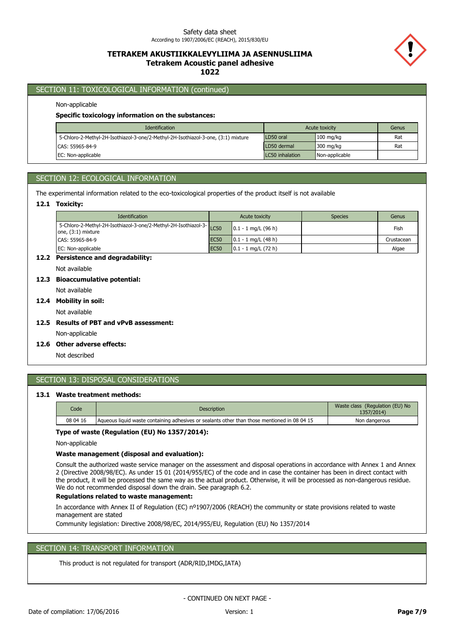## **TETRAKEM AKUSTIIKKALEVYLIIMA JA ASENNUSLIIMA Tetrakem Acoustic panel adhesive 1022**



## SECTION 11: TOXICOLOGICAL INFORMATION (continued)

### Non-applicable

#### **Specific toxicology information on the substances:**

| <b>Identification</b>                                                             | Acute toxicity  | Genus               |     |
|-----------------------------------------------------------------------------------|-----------------|---------------------|-----|
| 5-Chloro-2-Methyl-2H-Isothiazol-3-one/2-Methyl-2H-Isothiazol-3-one, (3:1) mixture | LD50 oral       | $100$ mg/kg         | Rat |
| CAS: 55965-84-9                                                                   | LD50 dermal     | $300 \text{ mg/kg}$ | Rat |
| <b>IEC: Non-applicable</b>                                                        | LC50 inhalation | Non-applicable      |     |

## SECTION 12: ECOLOGICAL INFORMATION

The experimental information related to the eco-toxicological properties of the product itself is not available

### **12.1 Toxicity:**

| <b>Identification</b>                                                                 | Acute toxicity   |                        | <b>Species</b> | Genus      |
|---------------------------------------------------------------------------------------|------------------|------------------------|----------------|------------|
| 5-Chloro-2-Methyl-2H-Isothiazol-3-one/2-Methyl-2H-Isothiazol-3-<br>one, (3:1) mixture |                  | $0.1 - 1$ mg/L (96 h)  |                | Fish       |
| CAS: 55965-84-9                                                                       | EC <sub>50</sub> | $0.1 - 1$ mg/L (48 h)  |                | Crustacean |
| EC: Non-applicable                                                                    | <b>EC50</b>      | $10.1 - 1$ mg/L (72 h) |                | Algae      |

## **12.2 Persistence and degradability:**

Not available

## **12.3 Bioaccumulative potential:**

Not available

## **12.4 Mobility in soil:**

Not available

**12.5 Results of PBT and vPvB assessment:**

Non-applicable

**12.6 Other adverse effects:**

Not described

## SECTION 13: DISPOSAL CONSIDERATIONS

### **13.1 Waste treatment methods:**

| Code     | <b>Description</b>                                                                           | Waste class (Regulation (EU) No<br>1357/2014) |
|----------|----------------------------------------------------------------------------------------------|-----------------------------------------------|
| 08 04 16 | Aqueous liquid waste containing adhesives or sealants other than those mentioned in 08 04 15 | Non dangerous                                 |

### **Type of waste (Regulation (EU) No 1357/2014):**

Non-applicable

### **Waste management (disposal and evaluation):**

Consult the authorized waste service manager on the assessment and disposal operations in accordance with Annex 1 and Annex 2 (Directive 2008/98/EC). As under 15 01 (2014/955/EC) of the code and in case the container has been in direct contact with the product, it will be processed the same way as the actual product. Otherwise, it will be processed as non-dangerous residue. We do not recommended disposal down the drain. See paragraph 6.2.

## **Regulations related to waste management:**

In accordance with Annex II of Regulation (EC) nº1907/2006 (REACH) the community or state provisions related to waste management are stated

Community legislation: Directive 2008/98/EC, 2014/955/EU, Regulation (EU) No 1357/2014

# SECTION 14: TRANSPORT INFORMATION

This product is not regulated for transport (ADR/RID,IMDG,IATA)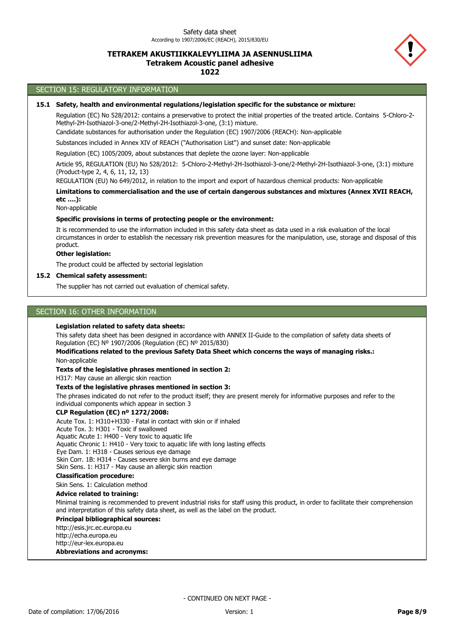## **TETRAKEM AKUSTIIKKALEVYLIIMA JA ASENNUSLIIMA Tetrakem Acoustic panel adhesive**

**1022**

## SECTION 15: REGULATORY INFORMATION

### **15.1 Safety, health and environmental regulations/legislation specific for the substance or mixture:**

Regulation (EC) No 528/2012: contains a preservative to protect the initial properties of the treated article. Contains 5-Chloro-2- Methyl-2H-Isothiazol-3-one/2-Methyl-2H-Isothiazol-3-one, (3:1) mixture.

Candidate substances for authorisation under the Regulation (EC) 1907/2006 (REACH): Non-applicable

Substances included in Annex XIV of REACH ("Authorisation List") and sunset date: Non-applicable

Regulation (EC) 1005/2009, about substances that deplete the ozone layer: Non-applicable

Article 95, REGULATION (EU) No 528/2012: 5-Chloro-2-Methyl-2H-Isothiazol-3-one/2-Methyl-2H-Isothiazol-3-one, (3:1) mixture (Product-type 2, 4, 6, 11, 12, 13)

REGULATION (EU) No 649/2012, in relation to the import and export of hazardous chemical products: Non-applicable

**Limitations to commercialisation and the use of certain dangerous substances and mixtures (Annex XVII REACH, etc ….):**

Non-applicable

#### **Specific provisions in terms of protecting people or the environment:**

It is recommended to use the information included in this safety data sheet as data used in a risk evaluation of the local circumstances in order to establish the necessary risk prevention measures for the manipulation, use, storage and disposal of this product.

### **Other legislation:**

The product could be affected by sectorial legislation

#### **15.2 Chemical safety assessment:**

The supplier has not carried out evaluation of chemical safety.

### SECTION 16: OTHER INFORMATION

#### **Legislation related to safety data sheets:**

This safety data sheet has been designed in accordance with ANNEX II-Guide to the compilation of safety data sheets of Regulation (EC) Nº 1907/2006 (Regulation (EC) Nº 2015/830)

Non-applicable **Modifications related to the previous Safety Data Sheet which concerns the ways of managing risks.:**

#### **Texts of the legislative phrases mentioned in section 2:**

H317: May cause an allergic skin reaction

#### **Texts of the legislative phrases mentioned in section 3:**

The phrases indicated do not refer to the product itself; they are present merely for informative purposes and refer to the individual components which appear in section 3

### **CLP Regulation (EC) nº 1272/2008:**

Acute Tox. 1: H310+H330 - Fatal in contact with skin or if inhaled

Acute Tox. 3: H301 - Toxic if swallowed

Aquatic Acute 1: H400 - Very toxic to aquatic life

Aquatic Chronic 1: H410 - Very toxic to aquatic life with long lasting effects

Eye Dam. 1: H318 - Causes serious eye damage Skin Corr. 1B: H314 - Causes severe skin burns and eye damage

Skin Sens. 1: H317 - May cause an allergic skin reaction

#### **Classification procedure:**

Skin Sens. 1: Calculation method

#### **Advice related to training:**

Minimal training is recommended to prevent industrial risks for staff using this product, in order to facilitate their comprehension and interpretation of this safety data sheet, as well as the label on the product.

#### **Principal bibliographical sources:**

**Abbreviations and acronyms:** http://esis.jrc.ec.europa.eu http://echa.europa.eu http://eur-lex.europa.eu